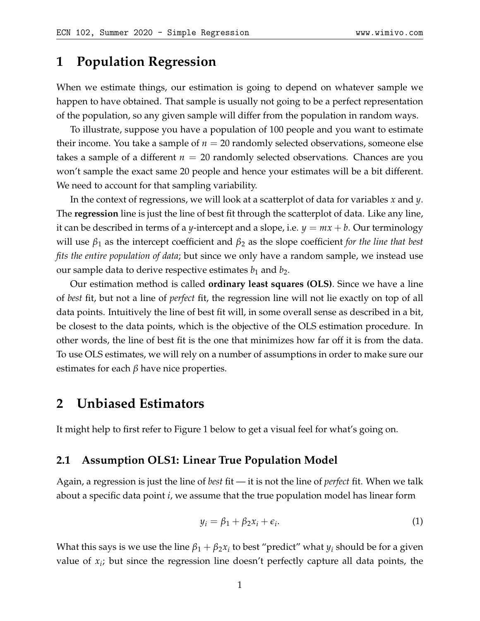# **1 Population Regression**

When we estimate things, our estimation is going to depend on whatever sample we happen to have obtained. That sample is usually not going to be a perfect representation of the population, so any given sample will differ from the population in random ways.

To illustrate, suppose you have a population of 100 people and you want to estimate their income. You take a sample of  $n = 20$  randomly selected observations, someone else takes a sample of a different  $n = 20$  randomly selected observations. Chances are you won't sample the exact same 20 people and hence your estimates will be a bit different. We need to account for that sampling variability.

In the context of regressions, we will look at a scatterplot of data for variables *x* and *y*. The **regression** line is just the line of best fit through the scatterplot of data. Like any line, it can be described in terms of a *y*-intercept and a slope, i.e.  $y = mx + b$ . Our terminology will use *β*<sup>1</sup> as the intercept coefficient and *β*<sup>2</sup> as the slope coefficient *for the line that best fits the entire population of data*; but since we only have a random sample, we instead use our sample data to derive respective estimates  $b_1$  and  $b_2$ .

Our estimation method is called **ordinary least squares (OLS)**. Since we have a line of *best* fit, but not a line of *perfect* fit, the regression line will not lie exactly on top of all data points. Intuitively the line of best fit will, in some overall sense as described in a bit, be closest to the data points, which is the objective of the OLS estimation procedure. In other words, the line of best fit is the one that minimizes how far off it is from the data. To use OLS estimates, we will rely on a number of assumptions in order to make sure our estimates for each  $\beta$  have nice properties.

### **2 Unbiased Estimators**

It might help to first refer to Figure [1](#page-3-0) below to get a visual feel for what's going on.

#### **2.1 Assumption OLS1: Linear True Population Model**

Again, a regression is just the line of *best* fit — it is not the line of *perfect* fit. When we talk about a specific data point *i*, we assume that the true population model has linear form

$$
y_i = \beta_1 + \beta_2 x_i + \epsilon_i. \tag{1}
$$

What this says is we use the line  $\beta_1+\beta_2x_i$  to best "predict" what  $y_i$  should be for a given value of  $x_i$ ; but since the regression line doesn't perfectly capture all data points, the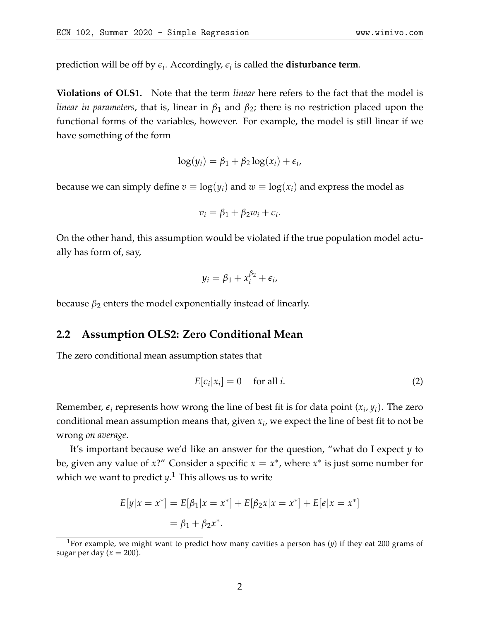prediction will be off by  $\epsilon_i$ . Accordingly,  $\epsilon_i$  is called the **disturbance term**.

**Violations of OLS1.** Note that the term *linear* here refers to the fact that the model is *linear in parameters*, that is, linear in *β*<sup>1</sup> and *β*2; there is no restriction placed upon the functional forms of the variables, however. For example, the model is still linear if we have something of the form

$$
\log(y_i) = \beta_1 + \beta_2 \log(x_i) + \epsilon_i,
$$

because we can simply define  $v \equiv \log(y_i)$  and  $w \equiv \log(x_i)$  and express the model as

$$
v_i = \beta_1 + \beta_2 w_i + \epsilon_i.
$$

On the other hand, this assumption would be violated if the true population model actually has form of, say,

$$
y_i = \beta_1 + x_i^{\beta_2} + \epsilon_i,
$$

because  $\beta_2$  enters the model exponentially instead of linearly.

### **2.2 Assumption OLS2: Zero Conditional Mean**

The zero conditional mean assumption states that

$$
E[\epsilon_i|x_i] = 0 \quad \text{for all } i. \tag{2}
$$

Remember,  $\epsilon_i$  represents how wrong the line of best fit is for data point  $(x_i, y_i)$ . The zero conditional mean assumption means that, given *x<sup>i</sup>* , we expect the line of best fit to not be wrong *on average*.

It's important because we'd like an answer for the question, "what do I expect *y* to be, given any value of *x*?" Consider a specific  $x = x^*$ , where  $x^*$  is just some number for which we want to predict *y*. [1](#page-1-0) This allows us to write

$$
E[y|x = x^*] = E[\beta_1|x = x^*] + E[\beta_2x|x = x^*] + E[\epsilon|x = x^*]
$$
  
=  $\beta_1 + \beta_2x^*$ .

<span id="page-1-0"></span><sup>1</sup>For example, we might want to predict how many cavities a person has (*y*) if they eat 200 grams of sugar per day  $(x = 200)$ .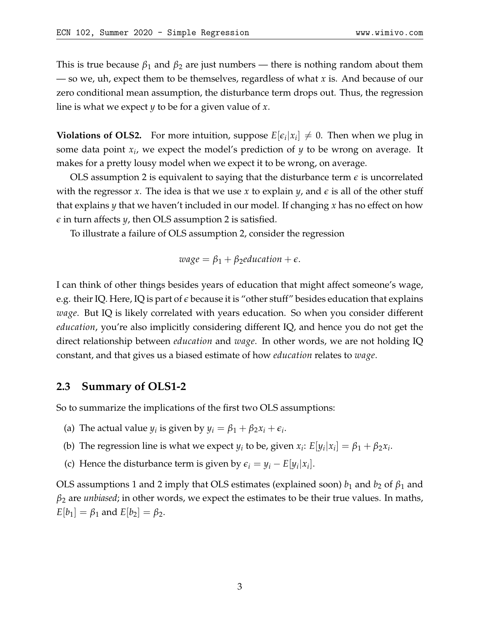This is true because  $\beta_1$  and  $\beta_2$  are just numbers — there is nothing random about them — so we, uh, expect them to be themselves, regardless of what *x* is. And because of our zero conditional mean assumption, the disturbance term drops out. Thus, the regression line is what we expect *y* to be for a given value of *x*.

**Violations of OLS2.** For more intuition, suppose  $E[\epsilon_i|x_i] \neq 0$ . Then when we plug in some data point *x<sup>i</sup>* , we expect the model's prediction of *y* to be wrong on average. It makes for a pretty lousy model when we expect it to be wrong, on average.

OLS assumption 2 is equivalent to saying that the disturbance term *e* is uncorrelated with the regressor *x*. The idea is that we use *x* to explain *y*, and *e* is all of the other stuff that explains *y* that we haven't included in our model. If changing *x* has no effect on how *e* in turn affects *y*, then OLS assumption 2 is satisfied.

To illustrate a failure of OLS assumption 2, consider the regression

$$
wage = \beta_1 + \beta_2 education + \epsilon.
$$

I can think of other things besides years of education that might affect someone's wage, e.g. their IQ. Here, IQ is part of *e* because it is "other stuff" besides education that explains *wage*. But IQ is likely correlated with years education. So when you consider different *education*, you're also implicitly considering different IQ, and hence you do not get the direct relationship between *education* and *wage*. In other words, we are not holding IQ constant, and that gives us a biased estimate of how *education* relates to *wage*.

### **2.3 Summary of OLS1-2**

So to summarize the implications of the first two OLS assumptions:

- (a) The actual value  $y_i$  is given by  $y_i = \beta_1 + \beta_2 x_i + \epsilon_i$ .
- (b) The regression line is what we expect  $y_i$  to be, given  $x_i$ :  $E[y_i|x_i] = \beta_1 + \beta_2 x_i$ .
- (c) Hence the disturbance term is given by  $\epsilon_i = y_i E[y_i|x_i]$ .

OLS assumptions 1 and 2 imply that OLS estimates (explained soon)  $b_1$  and  $b_2$  of  $\beta_1$  and  $\beta_2$  are *unbiased*; in other words, we expect the estimates to be their true values. In maths,  $E[b_1] = \beta_1$  and  $E[b_2] = \beta_2$ .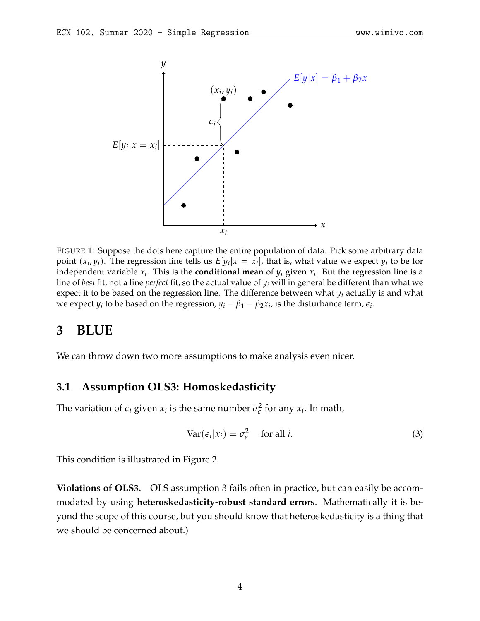<span id="page-3-0"></span>

FIGURE 1: Suppose the dots here capture the entire population of data. Pick some arbitrary data point  $(x_i, y_i)$ . The regression line tells us  $E[y_i | x = x_i]$ , that is, what value we expect  $y_i$  to be for independent variable  $x_i$ . This is the **conditional mean** of  $y_i$  given  $x_i$ . But the regression line is a line of *best* fit, not a line *perfect* fit, so the actual value of *y<sup>i</sup>* will in general be different than what we expect it to be based on the regression line. The difference between what *y<sup>i</sup>* actually is and what we expect  $y_i$  to be based on the regression,  $y_i - \beta_1 - \beta_2 x_i$ , is the disturbance term,  $\epsilon_i$ .

## **3 BLUE**

We can throw down two more assumptions to make analysis even nicer.

### **3.1 Assumption OLS3: Homoskedasticity**

The variation of  $\epsilon_i$  given  $x_i$  is the same number  $\sigma_{\epsilon}^2$  $\frac{2}{\epsilon}$  for any  $x_i$ . In math,

$$
Var(\epsilon_i|x_i) = \sigma_{\epsilon}^2 \quad \text{for all } i. \tag{3}
$$

This condition is illustrated in Figure [2.](#page-4-0)

**Violations of OLS3.** OLS assumption 3 fails often in practice, but can easily be accommodated by using **heteroskedasticity-robust standard errors**. Mathematically it is beyond the scope of this course, but you should know that heteroskedasticity is a thing that we should be concerned about.)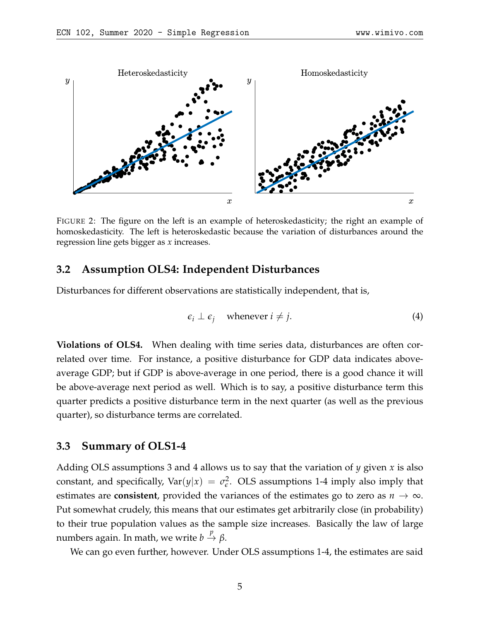<span id="page-4-0"></span>

FIGURE 2: The figure on the left is an example of heteroskedasticity; the right an example of homoskedasticity. The left is heteroskedastic because the variation of disturbances around the regression line gets bigger as *x* increases.

#### **3.2 Assumption OLS4: Independent Disturbances**

Disturbances for different observations are statistically independent, that is,

$$
\epsilon_i \perp \epsilon_j \quad \text{whenever } i \neq j. \tag{4}
$$

**Violations of OLS4.** When dealing with time series data, disturbances are often correlated over time. For instance, a positive disturbance for GDP data indicates aboveaverage GDP; but if GDP is above-average in one period, there is a good chance it will be above-average next period as well. Which is to say, a positive disturbance term this quarter predicts a positive disturbance term in the next quarter (as well as the previous quarter), so disturbance terms are correlated.

#### **3.3 Summary of OLS1-4**

Adding OLS assumptions 3 and 4 allows us to say that the variation of *y* given *x* is also constant, and specifically,  $Var(y|x) = \sigma_{\epsilon}^2$  $\epsilon^2$ . OLS assumptions 1-4 imply also imply that estimates are **consistent**, provided the variances of the estimates go to zero as  $n \to \infty$ . Put somewhat crudely, this means that our estimates get arbitrarily close (in probability) to their true population values as the sample size increases. Basically the law of large **numbers again.** In math, we write  $b \stackrel{p}{\to} β$ .

We can go even further, however. Under OLS assumptions 1-4, the estimates are said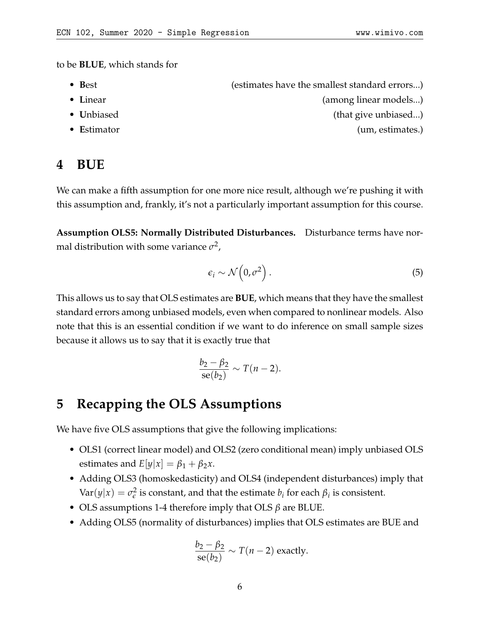to be **BLUE**, which stands for

- Best **best** (estimates have the smallest standard errors...)
- Linear (among linear models...)
- **Unbiased** (that give unbiased...)
- **E**stimator (um, estimates.)

# **4 BUE**

We can make a fifth assumption for one more nice result, although we're pushing it with this assumption and, frankly, it's not a particularly important assumption for this course.

**Assumption OLS5: Normally Distributed Disturbances.** Disturbance terms have normal distribution with some variance  $\sigma^2$ ,

$$
\epsilon_i \sim \mathcal{N}\left(0, \sigma^2\right). \tag{5}
$$

This allows us to say that OLS estimates are **BUE**, which means that they have the smallest standard errors among unbiased models, even when compared to nonlinear models. Also note that this is an essential condition if we want to do inference on small sample sizes because it allows us to say that it is exactly true that

$$
\frac{b_2-\beta_2}{\text{se}(b_2)}\sim T(n-2).
$$

### **5 Recapping the OLS Assumptions**

We have five OLS assumptions that give the following implications:

- OLS1 (correct linear model) and OLS2 (zero conditional mean) imply unbiased OLS estimates and  $E[y|x] = \beta_1 + \beta_2 x$ .
- Adding OLS3 (homoskedasticity) and OLS4 (independent disturbances) imply that  $Var(y|x) = \sigma_{\epsilon}^2$  $\frac{p}{q}$  is constant, and that the estimate  $b_i$  for each  $β_i$  is consistent.
- OLS assumptions 1-4 therefore imply that OLS *β* are BLUE.
- Adding OLS5 (normality of disturbances) implies that OLS estimates are BUE and

$$
\frac{b_2 - \beta_2}{\text{se}(b_2)} \sim T(n-2) \text{ exactly.}
$$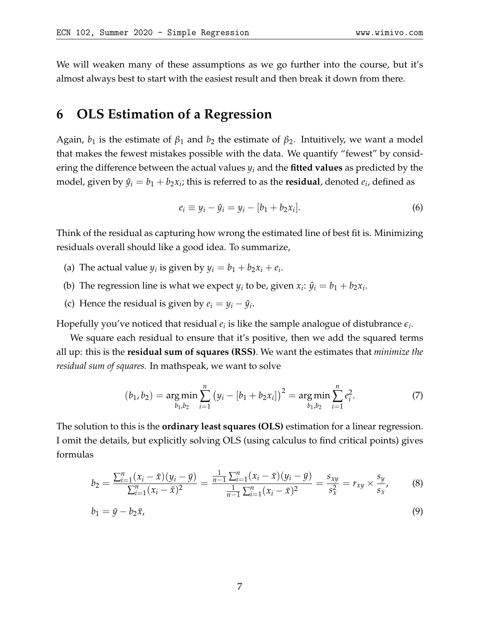We will weaken many of these assumptions as we go further into the course, but it's almost always best to start with the easiest result and then break it down from there.

## **6 OLS Estimation of a Regression**

Again,  $b_1$  is the estimate of  $\beta_1$  and  $b_2$  the estimate of  $\beta_2$ . Intuitively, we want a model that makes the fewest mistakes possible with the data. We quantify "fewest" by considering the difference between the actual values *y<sup>i</sup>* and the **fitted values** as predicted by the model, given by  $\hat{y}_i = b_1 + b_2 x_i$ ; this is referred to as the **residual**, denoted  $e_i$ , defined as

$$
e_i \equiv y_i - \hat{y}_i = y_i - [b_1 + b_2 x_i]. \tag{6}
$$

Think of the residual as capturing how wrong the estimated line of best fit is. Minimizing residuals overall should like a good idea. To summarize,

- (a) The actual value  $y_i$  is given by  $y_i = b_1 + b_2x_i + e_i$ .
- (b) The regression line is what we expect  $y_i$  to be, given  $x_i$ :  $\hat{y}_i = b_1 + b_2 x_i$ .
- (c) Hence the residual is given by  $e_i = y_i \hat{y}_i$ .

Hopefully you've noticed that residual  $e_i$  is like the sample analogue of distubrance  $\epsilon_i$ .

We square each residual to ensure that it's positive, then we add the squared terms all up: this is the **residual sum of squares (RSS)**. We want the estimates that *minimize the residual sum of squares.* In mathspeak, we want to solve

<span id="page-6-0"></span>
$$
(b_1, b_2) = \underset{b_1, b_2}{\arg \min} \sum_{i=1}^n (y_i - [b_1 + b_2 x_i])^2 = \underset{b_1, b_2}{\arg \min} \sum_{i=1}^n e_i^2. \tag{7}
$$

The solution to this is the **ordinary least squares (OLS)** estimation for a linear regression. I omit the details, but explicitly solving OLS (using calculus to find critical points) gives formulas

$$
b_2 = \frac{\sum_{i=1}^n (x_i - \bar{x})(y_i - \bar{y})}{\sum_{i=1}^n (x_i - \bar{x})^2} = \frac{\frac{1}{n-1} \sum_{i=1}^n (x_i - \bar{x})(y_i - \bar{y})}{\frac{1}{n-1} \sum_{i=1}^n (x_i - \bar{x})^2} = \frac{s_{xy}}{s_x^2} = r_{xy} \times \frac{s_y}{s_x},
$$
(8)

$$
b_1 = \bar{y} - b_2 \bar{x},\tag{9}
$$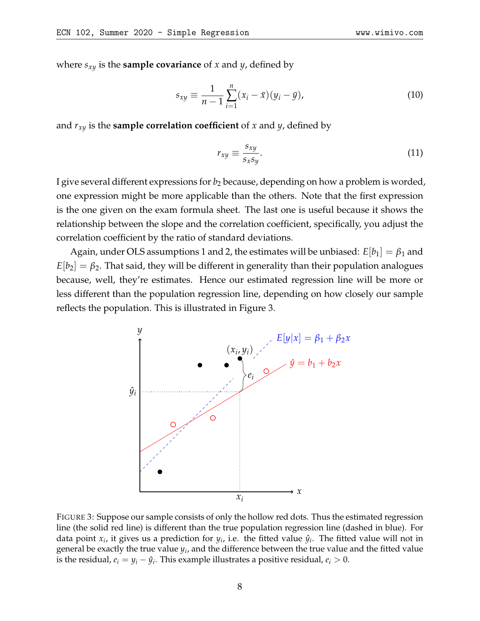where  $s_{xy}$  is the **sample covariance** of *x* and *y*, defined by

$$
s_{xy} \equiv \frac{1}{n-1} \sum_{i=1}^{n} (x_i - \bar{x})(y_i - \bar{y}), \qquad (10)
$$

and  $r_{xy}$  is the **sample correlation coefficient** of *x* and *y*, defined by

$$
r_{xy} \equiv \frac{s_{xy}}{s_x s_y}.\tag{11}
$$

I give several different expressions for  $b_2$  because, depending on how a problem is worded, one expression might be more applicable than the others. Note that the first expression is the one given on the exam formula sheet. The last one is useful because it shows the relationship between the slope and the correlation coefficient, specifically, you adjust the correlation coefficient by the ratio of standard deviations.

Again, under OLS assumptions 1 and 2, the estimates will be unbiased: *E*[*b*1] = *β*<sup>1</sup> and  $E|b_2| = \beta_2$ . That said, they will be different in generality than their population analogues because, well, they're estimates. Hence our estimated regression line will be more or less different than the population regression line, depending on how closely our sample reflects the population. This is illustrated in Figure [3.](#page-7-0)

<span id="page-7-0"></span>

FIGURE 3: Suppose our sample consists of only the hollow red dots. Thus the estimated regression line (the solid red line) is different than the true population regression line (dashed in blue). For data point  $x_i$ , it gives us a prediction for  $y_i$ , i.e. the fitted value  $\hat{y}_i$ . The fitted value will not in general be exactly the true value  $y_i$ , and the difference between the true value and the fitted value is the residual,  $e_i = y_i - \hat{y}_i$ . This example illustrates a positive residual,  $e_i > 0$ .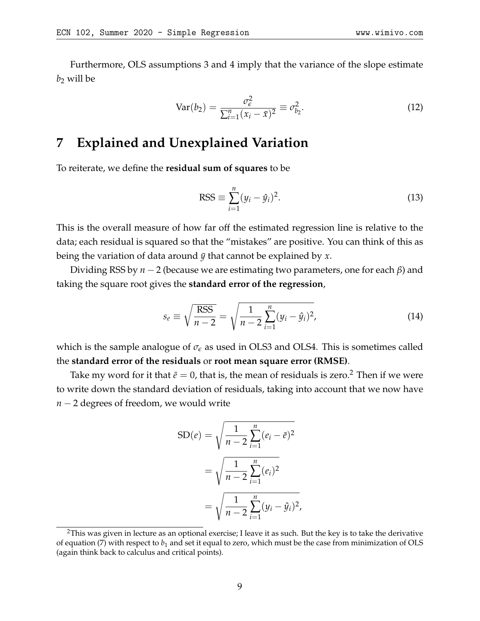Furthermore, OLS assumptions 3 and 4 imply that the variance of the slope estimate  $b_2$  will be

$$
Var(b_2) = \frac{\sigma_{\epsilon}^2}{\sum_{i=1}^n (x_i - \bar{x})^2} \equiv \sigma_{b_2}^2.
$$
 (12)

# **7 Explained and Unexplained Variation**

To reiterate, we define the **residual sum of squares** to be

$$
RSS \equiv \sum_{i=1}^{n} (y_i - \hat{y}_i)^2.
$$
 (13)

This is the overall measure of how far off the estimated regression line is relative to the data; each residual is squared so that the "mistakes" are positive. You can think of this as being the variation of data around  $\bar{y}$  that cannot be explained by  $x$ .

Dividing RSS by *n* − 2 (because we are estimating two parameters, one for each *β*) and taking the square root gives the **standard error of the regression**,

$$
s_e \equiv \sqrt{\frac{\text{RSS}}{n-2}} = \sqrt{\frac{1}{n-2} \sum_{i=1}^{n} (y_i - \hat{y}_i)^2},
$$
(14)

which is the sample analogue of  $\sigma_{\epsilon}$  as used in OLS3 and OLS4. This is sometimes called the **standard error of the residuals** or **root mean square error (RMSE)**.

Take my word for it that  $\bar{e} = 0$ , that is, the mean of residuals is zero.<sup>[2](#page-8-0)</sup> Then if we were to write down the standard deviation of residuals, taking into account that we now have *n* − 2 degrees of freedom, we would write

$$
SD(e) = \sqrt{\frac{1}{n-2} \sum_{i=1}^{n} (e_i - \bar{e})^2}
$$

$$
= \sqrt{\frac{1}{n-2} \sum_{i=1}^{n} (e_i)^2}
$$

$$
= \sqrt{\frac{1}{n-2} \sum_{i=1}^{n} (y_i - \hat{y}_i)^2},
$$

<span id="page-8-0"></span> $2$ This was given in lecture as an optional exercise; I leave it as such. But the key is to take the derivative of equation [\(7\)](#page-6-0) with respect to  $b_1$  and set it equal to zero, which must be the case from minimization of OLS (again think back to calculus and critical points).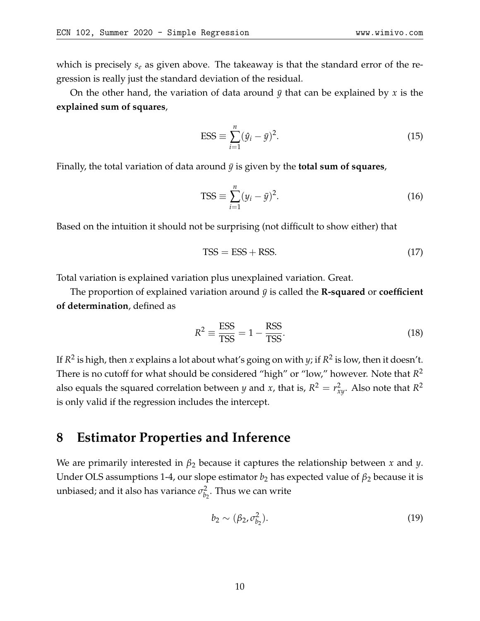On the other hand, the variation of data around *y*¯ that can be explained by *x* is the **explained sum of squares**,

$$
ESS \equiv \sum_{i=1}^{n} (\hat{y}_i - \bar{y})^2.
$$
 (15)

Finally, the total variation of data around  $\bar{y}$  is given by the **total sum of squares**,

$$
TSS \equiv \sum_{i=1}^{n} (y_i - \bar{y})^2.
$$
 (16)

Based on the intuition it should not be surprising (not difficult to show either) that

$$
TSS = ESS + RSS.\t(17)
$$

Total variation is explained variation plus unexplained variation. Great.

The proportion of explained variation around  $\bar{y}$  is called the **R-squared** or **coefficient of determination**, defined as

$$
R^2 \equiv \frac{\text{ESS}}{\text{TSS}} = 1 - \frac{\text{RSS}}{\text{TSS}}.\tag{18}
$$

If *R* 2 is high, then *x* explains a lot about what's going on with *y*; if *R* 2 is low, then it doesn't. There is no cutoff for what should be considered "high" or "low," however. Note that *R* 2 also equals the squared correlation between *y* and *x*, that is,  $R^2 = r_{xy}^2$ . Also note that  $R^2$ is only valid if the regression includes the intercept.

## **8 Estimator Properties and Inference**

We are primarily interested in *β*<sup>2</sup> because it captures the relationship between *x* and *y*. Under OLS assumptions 1-4, our slope estimator  $b_2$  has expected value of  $\beta_2$  because it is unbiased; and it also has variance  $\sigma _{b}^{2}$  $b_2^2$ . Thus we can write

$$
b_2 \sim (\beta_2, \sigma_{b_2}^2). \tag{19}
$$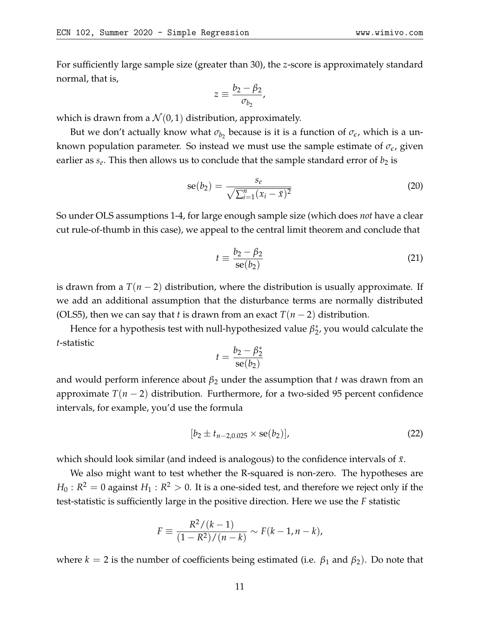For sufficiently large sample size (greater than 30), the *z*-score is approximately standard normal, that is,

$$
z \equiv \frac{b_2 - \beta_2}{\sigma_{b_2}},
$$

which is drawn from a  $\mathcal{N}(0, 1)$  distribution, approximately.

But we don't actually know what  $\sigma_{b_2}$  because is it is a function of  $\sigma_{\epsilon}$ , which is a unknown population parameter. So instead we must use the sample estimate of *σe*, given earlier as  $s_e$ . This then allows us to conclude that the sample standard error of  $b_2$  is

$$
se(b_2) = \frac{s_e}{\sqrt{\sum_{i=1}^n (x_i - \bar{x})^2}}
$$
(20)

So under OLS assumptions 1-4, for large enough sample size (which does *not* have a clear cut rule-of-thumb in this case), we appeal to the central limit theorem and conclude that

$$
t \equiv \frac{b_2 - \beta_2}{\text{se}(b_2)}\tag{21}
$$

is drawn from a *T*(*n* − 2) distribution, where the distribution is usually approximate. If we add an additional assumption that the disturbance terms are normally distributed (OLS5), then we can say that *t* is drawn from an exact  $T(n-2)$  distribution.

Hence for a hypothesis test with null-hypothesized value  $β_2^*$  $_2^*$ , you would calculate the *t*-statistic

$$
t = \frac{b_2 - \beta_2^*}{\mathrm{se}(b_2)}
$$

and would perform inference about  $\beta_2$  under the assumption that *t* was drawn from an approximate *T*(*n* − 2) distribution. Furthermore, for a two-sided 95 percent confidence intervals, for example, you'd use the formula

$$
[b_2 \pm t_{n-2,0.025} \times \text{se}(b_2)], \qquad (22)
$$

which should look similar (and indeed is analogous) to the confidence intervals of  $\bar{x}$ .

We also might want to test whether the R-squared is non-zero. The hypotheses are  $H_0:R^2=0$  against  $H_1:R^2>0.$  It is a one-sided test, and therefore we reject only if the test-statistic is sufficiently large in the positive direction. Here we use the *F* statistic

$$
F \equiv \frac{R^2/(k-1)}{(1 - R^2)/(n - k)} \sim F(k - 1, n - k),
$$

where  $k = 2$  is the number of coefficients being estimated (i.e.  $\beta_1$  and  $\beta_2$ ). Do note that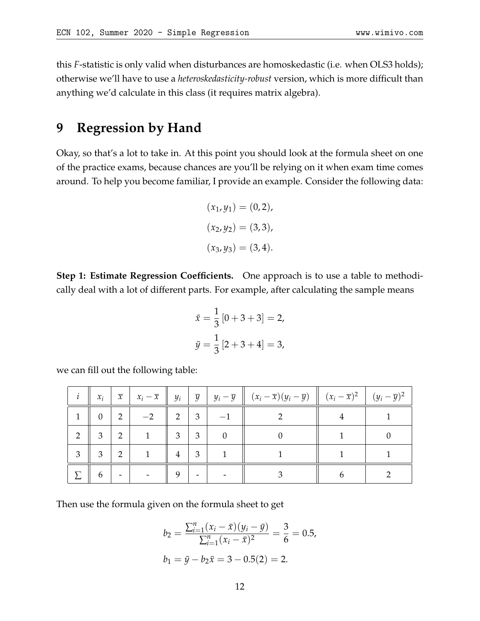this *F*-statistic is only valid when disturbances are homoskedastic (i.e. when OLS3 holds); otherwise we'll have to use a *heteroskedasticity-robust* version, which is more difficult than anything we'd calculate in this class (it requires matrix algebra).

## **9 Regression by Hand**

Okay, so that's a lot to take in. At this point you should look at the formula sheet on one of the practice exams, because chances are you'll be relying on it when exam time comes around. To help you become familiar, I provide an example. Consider the following data:

$$
(x_1, y_1) = (0, 2),
$$
  

$$
(x_2, y_2) = (3, 3),
$$
  

$$
(x_3, y_3) = (3, 4).
$$

**Step 1: Estimate Regression Coefficients.** One approach is to use a table to methodically deal with a lot of different parts. For example, after calculating the sample means

$$
\bar{x} = \frac{1}{3} [0 + 3 + 3] = 2,
$$
  

$$
\bar{y} = \frac{1}{3} [2 + 3 + 4] = 3,
$$

we can fill out the following table:

|                | $x_i$          | $\overline{x}$ | $\mid x_i - \overline{x} \mid \mid y_i \mid$ |                |                | $\vert \overline{y} \vert y_i - \overline{y} \vert (x_i - \overline{x})(y_i - \overline{y}) \vert (x_i - \overline{x})^2 \vert (y_i - \overline{y})^2$ |  |
|----------------|----------------|----------------|----------------------------------------------|----------------|----------------|--------------------------------------------------------------------------------------------------------------------------------------------------------|--|
| 1              | $\overline{0}$ | 2              | $-2$                                         | $\overline{2}$ | $\overline{3}$ |                                                                                                                                                        |  |
| $\overline{2}$ | 3              | 2              | $\mathbf{1}$                                 | 3 <sup>2</sup> | $\overline{3}$ |                                                                                                                                                        |  |
| 3              | 3              | 2              |                                              | $\overline{4}$ | 3              |                                                                                                                                                        |  |
|                | 6              |                |                                              | 9              |                |                                                                                                                                                        |  |

Then use the formula given on the formula sheet to get

$$
b_2 = \frac{\sum_{i=1}^{n} (x_i - \bar{x})(y_i - \bar{y})}{\sum_{i=1}^{n} (x_i - \bar{x})^2} = \frac{3}{6} = 0.5,
$$
  

$$
b_1 = \bar{y} - b_2 \bar{x} = 3 - 0.5(2) = 2.
$$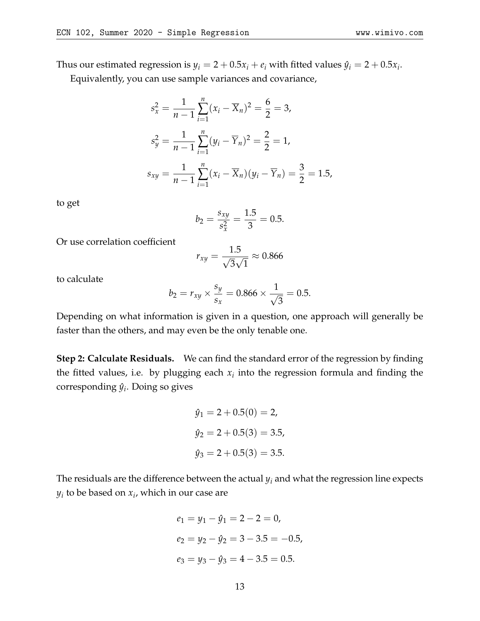Thus our estimated regression is  $y_i = 2 + 0.5x_i + e_i$  with fitted values  $\hat{y}_i = 2 + 0.5x_i$ .

Equivalently, you can use sample variances and covariance,

$$
s_x^2 = \frac{1}{n-1} \sum_{i=1}^n (x_i - \overline{X}_n)^2 = \frac{6}{2} = 3,
$$
  
\n
$$
s_y^2 = \frac{1}{n-1} \sum_{i=1}^n (y_i - \overline{Y}_n)^2 = \frac{2}{2} = 1,
$$
  
\n
$$
s_{xy} = \frac{1}{n-1} \sum_{i=1}^n (x_i - \overline{X}_n)(y_i - \overline{Y}_n) = \frac{3}{2} = 1.5,
$$

to get

$$
b_2 = \frac{s_{xy}}{s_x^2} = \frac{1.5}{3} = 0.5.
$$

Or use correlation coefficient

$$
r_{xy} = \frac{1.5}{\sqrt{3}\sqrt{1}} \approx 0.866
$$

to calculate

$$
b_2 = r_{xy} \times \frac{s_y}{s_x} = 0.866 \times \frac{1}{\sqrt{3}} = 0.5.
$$

Depending on what information is given in a question, one approach will generally be faster than the others, and may even be the only tenable one.

**Step 2: Calculate Residuals.** We can find the standard error of the regression by finding the fitted values, i.e. by plugging each  $x_i$  into the regression formula and finding the corresponding *y*ˆ*<sup>i</sup>* . Doing so gives

$$
\hat{y}_1 = 2 + 0.5(0) = 2,
$$
  
\n
$$
\hat{y}_2 = 2 + 0.5(3) = 3.5,
$$
  
\n
$$
\hat{y}_3 = 2 + 0.5(3) = 3.5.
$$

The residuals are the difference between the actual  $y_i$  and what the regression line expects *yi* to be based on *x<sup>i</sup>* , which in our case are

$$
e_1 = y_1 - \hat{y}_1 = 2 - 2 = 0,
$$
  
\n
$$
e_2 = y_2 - \hat{y}_2 = 3 - 3.5 = -0.5,
$$
  
\n
$$
e_3 = y_3 - \hat{y}_3 = 4 - 3.5 = 0.5.
$$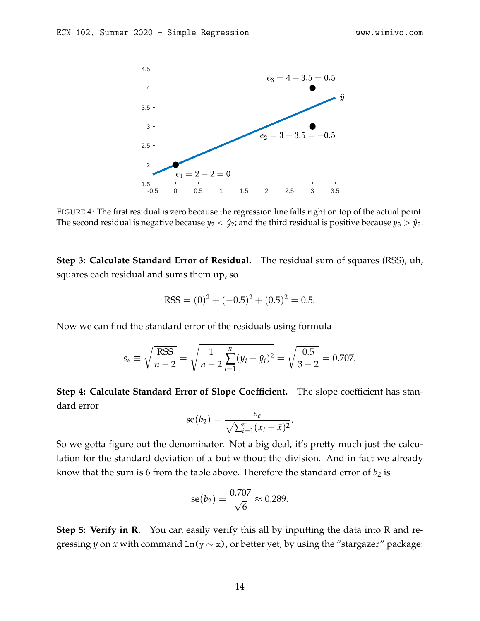

FIGURE 4: The first residual is zero because the regression line falls right on top of the actual point. The second residual is negative because  $y_2 < \hat{y}_2$ ; and the third residual is positive because  $y_3 > \hat{y}_3$ .

**Step 3: Calculate Standard Error of Residual.** The residual sum of squares (RSS), uh, squares each residual and sums them up, so

$$
RSS = (0)^{2} + (-0.5)^{2} + (0.5)^{2} = 0.5.
$$

Now we can find the standard error of the residuals using formula

$$
s_e \equiv \sqrt{\frac{\text{RSS}}{n-2}} = \sqrt{\frac{1}{n-2} \sum_{i=1}^n (y_i - \hat{y}_i)^2} = \sqrt{\frac{0.5}{3-2}} = 0.707.
$$

**Step 4: Calculate Standard Error of Slope Coefficient.** The slope coefficient has standard error

$$
\mathrm{se}(b_2)=\frac{s_e}{\sqrt{\sum_{i=1}^n(x_i-\bar{x})^2}}.
$$

So we gotta figure out the denominator. Not a big deal, it's pretty much just the calculation for the standard deviation of *x* but without the division. And in fact we already know that the sum is 6 from the table above. Therefore the standard error of  $b_2$  is

$$
se(b_2) = \frac{0.707}{\sqrt{6}} \approx 0.289.
$$

**Step 5: Verify in R.** You can easily verify this all by inputting the data into R and regressing *y* on *x* with command lm(y  $\sim$  x), or better yet, by using the "stargazer" package: